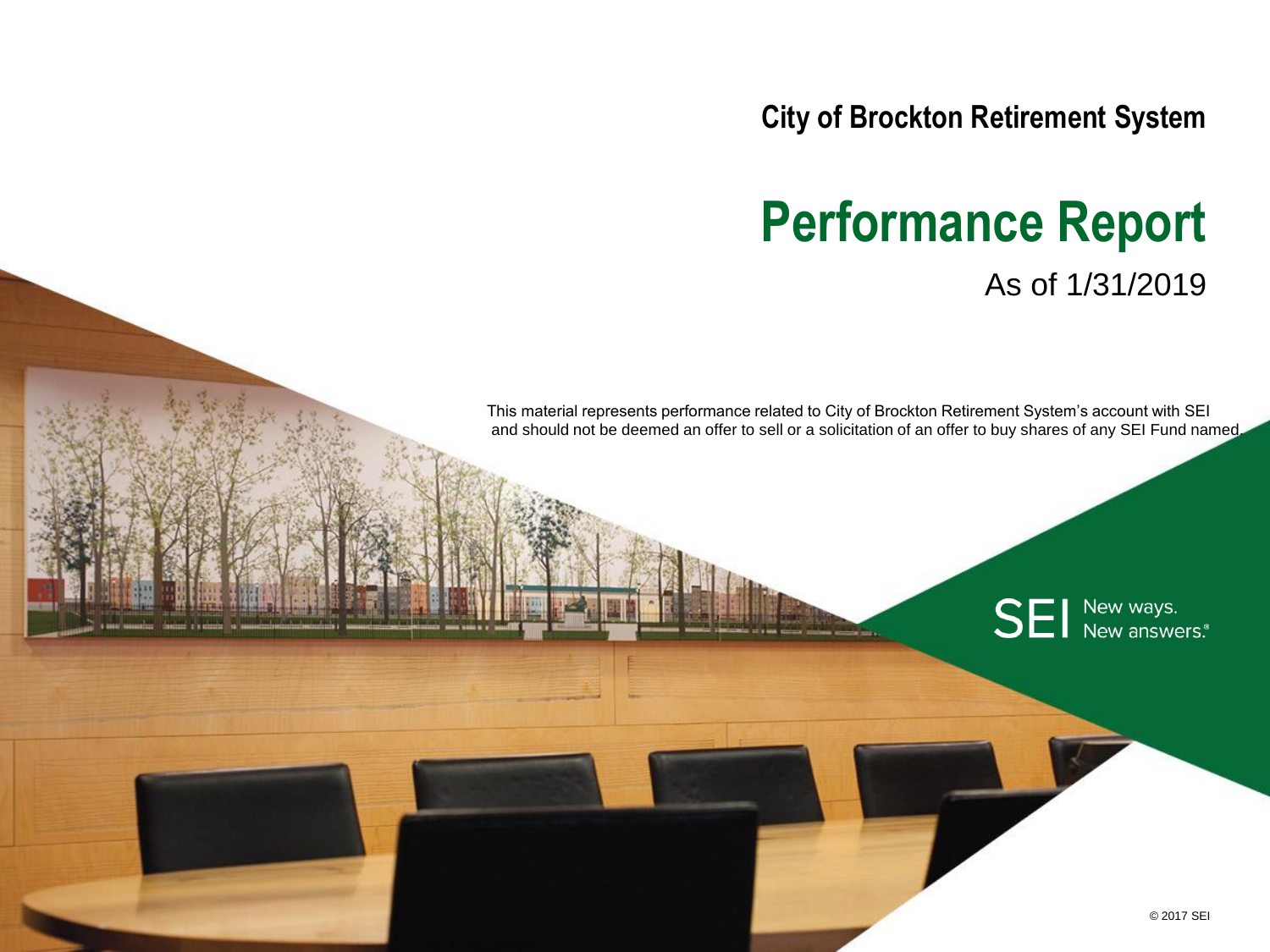**City of Brockton Retirement System**

# **Performance Report** As of 1/31/2019

This material represents performance related to City of Brockton Retirement System's account with SEI and should not be deemed an offer to sell or a solicitation of an offer to buy shares of any SEI Fund named.

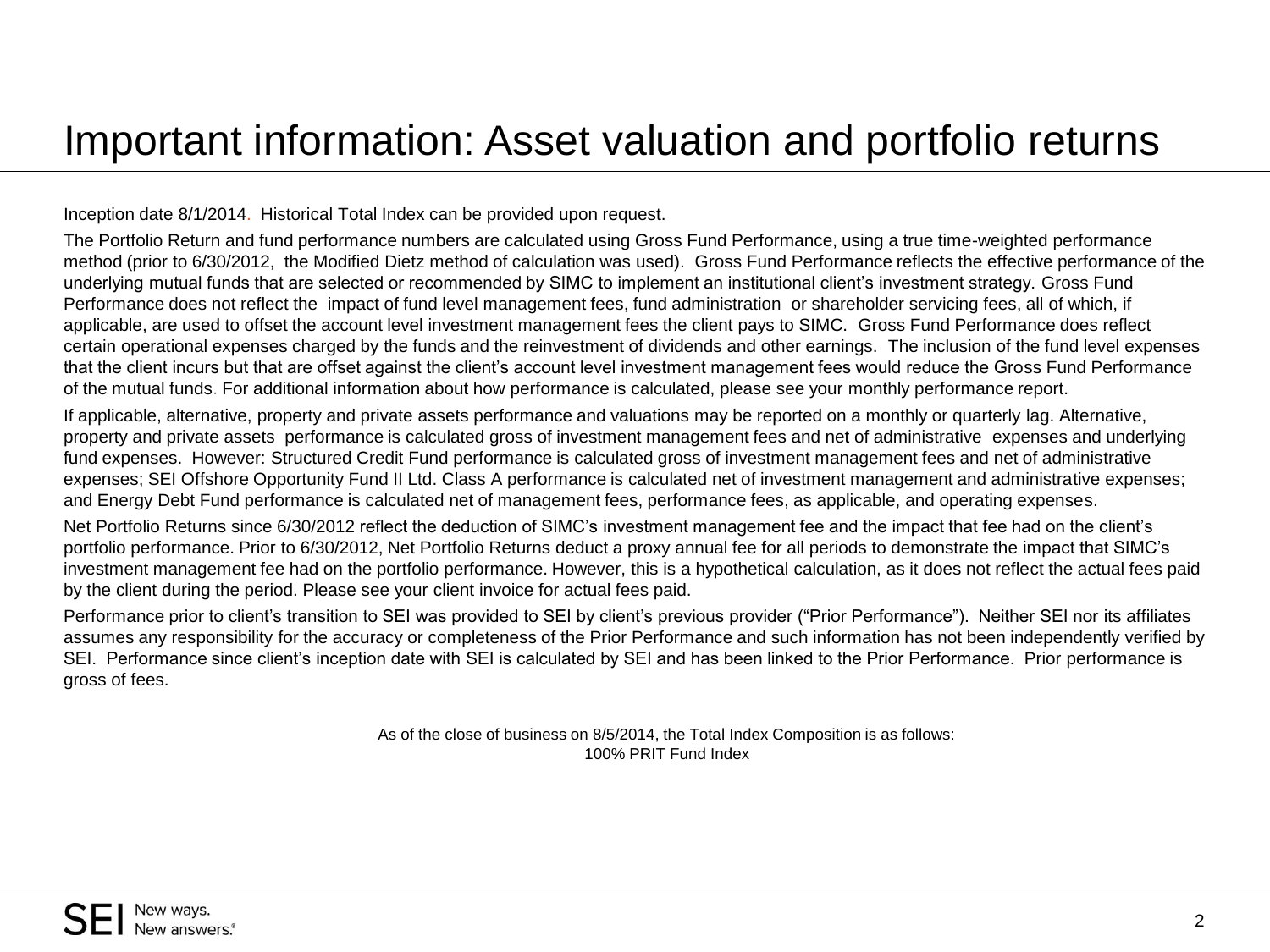#### Important information: Asset valuation and portfolio returns

Inception date 8/1/2014. Historical Total Index can be provided upon request.

The Portfolio Return and fund performance numbers are calculated using Gross Fund Performance, using a true time-weighted performance method (prior to 6/30/2012, the Modified Dietz method of calculation was used). Gross Fund Performance reflects the effective performance of the underlying mutual funds that are selected or recommended by SIMC to implement an institutional client's investment strategy. Gross Fund Performance does not reflect the impact of fund level management fees, fund administration or shareholder servicing fees, all of which, if applicable, are used to offset the account level investment management fees the client pays to SIMC. Gross Fund Performance does reflect certain operational expenses charged by the funds and the reinvestment of dividends and other earnings. The inclusion of the fund level expenses that the client incurs but that are offset against the client's account level investment management fees would reduce the Gross Fund Performance of the mutual funds. For additional information about how performance is calculated, please see your monthly performance report.

If applicable, alternative, property and private assets performance and valuations may be reported on a monthly or quarterly lag. Alternative, property and private assets performance is calculated gross of investment management fees and net of administrative expenses and underlying fund expenses. However: Structured Credit Fund performance is calculated gross of investment management fees and net of administrative expenses; SEI Offshore Opportunity Fund II Ltd. Class A performance is calculated net of investment management and administrative expenses; and Energy Debt Fund performance is calculated net of management fees, performance fees, as applicable, and operating expenses.

Net Portfolio Returns since 6/30/2012 reflect the deduction of SIMC's investment management fee and the impact that fee had on the client's portfolio performance. Prior to 6/30/2012, Net Portfolio Returns deduct a proxy annual fee for all periods to demonstrate the impact that SIMC's investment management fee had on the portfolio performance. However, this is a hypothetical calculation, as it does not reflect the actual fees paid by the client during the period. Please see your client invoice for actual fees paid.

Performance prior to client's transition to SEI was provided to SEI by client's previous provider ("Prior Performance"). Neither SEI nor its affiliates assumes any responsibility for the accuracy or completeness of the Prior Performance and such information has not been independently verified by SEI. Performance since client's inception date with SEI is calculated by SEI and has been linked to the Prior Performance. Prior performance is gross of fees.

> As of the close of business on 8/5/2014, the Total Index Composition is as follows: 100% PRIT Fund Index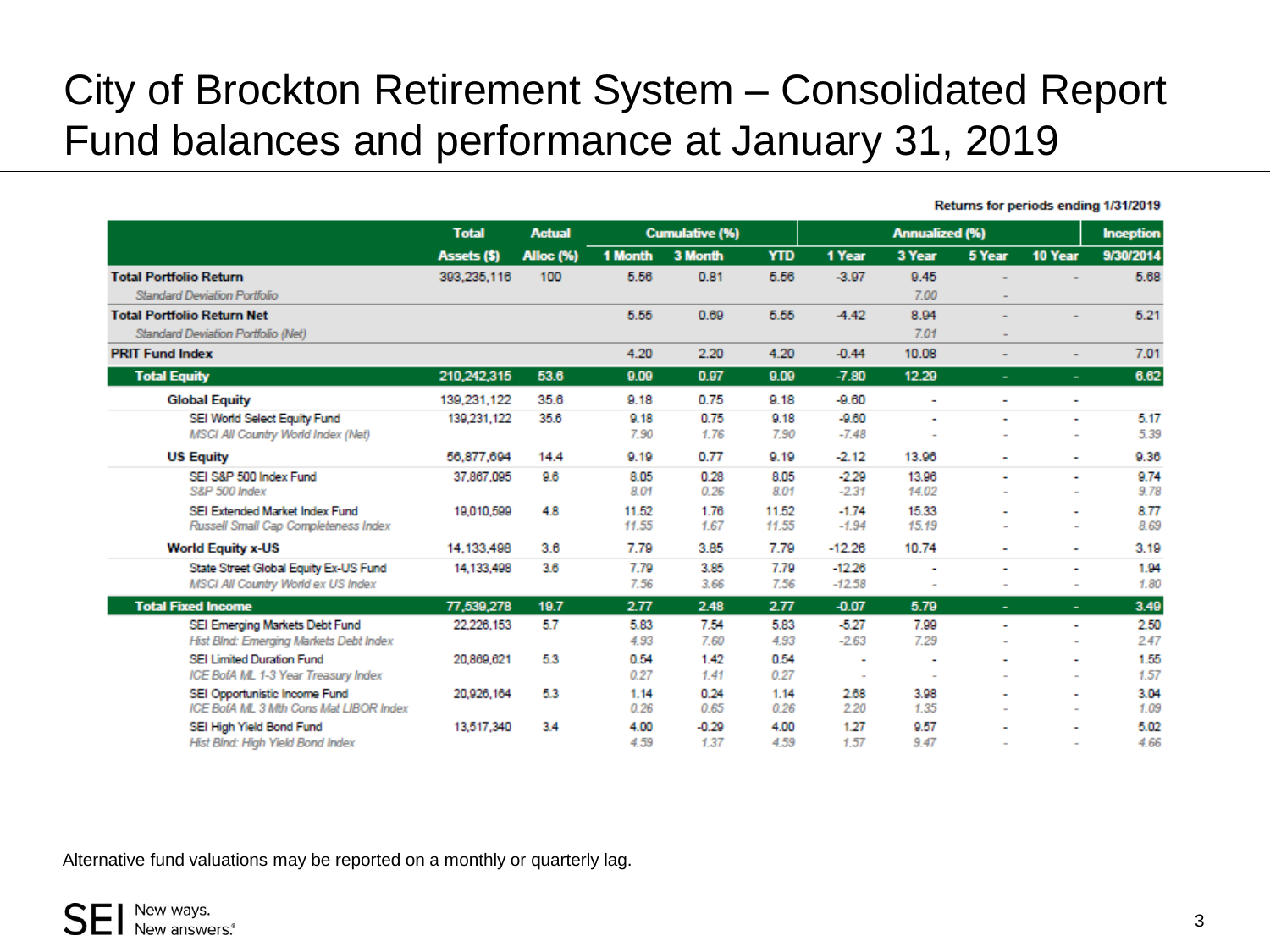### City of Brockton Retirement System – Consolidated Report Fund balances and performance at January 31, 2019

|                                                                         | <b>Total</b> | <b>Actual</b>    | <b>Cumulative (%)</b> |              |                |                          |                          | <b>Inception</b>         |                          |              |
|-------------------------------------------------------------------------|--------------|------------------|-----------------------|--------------|----------------|--------------------------|--------------------------|--------------------------|--------------------------|--------------|
|                                                                         | Assets (\$)  | <b>Alloc (%)</b> | 1 Month               | 3 Month      | <b>YTD</b>     | 1 Year                   | 3 Year                   | 5 Year                   | 10 Year                  | 9/30/2014    |
| <b>Total Portfolio Return</b>                                           | 393,235,116  | 100              | 5.56                  | 0.81         | 5.56           | $-3.97$                  | 9.45                     |                          |                          | 5.68         |
| <b>Standard Deviation Portfolio</b>                                     |              |                  |                       |              |                |                          | 7.00                     |                          |                          |              |
| <b>Total Portfolio Return Net</b>                                       |              |                  | 5.55                  | 0.69         | 5.55           | $-4.42$                  | 8.94                     | ٠                        | $\overline{\phantom{a}}$ | 5.21         |
| Standard Deviation Portfolio (Net)                                      |              |                  |                       |              |                |                          | 7.01                     | $\sim$                   |                          |              |
| <b>PRIT Fund Index</b>                                                  |              |                  | 4.20                  | 2.20         | 4.20           | $-0.44$                  | 10.08                    | ۰                        | $\sim$                   | 7.01         |
| <b>Total Equity</b>                                                     | 210,242,315  | 53.6             | 9.09                  | 0.97         | 9.09           | $-7.80$                  | 12.29                    | $\overline{\phantom{0}}$ | $\overline{\phantom{a}}$ | 6.62         |
| <b>Global Equity</b>                                                    | 139,231,122  | 35.6             | 9.18                  | 0.75         | 9.18           | $-9.60$                  | $\blacksquare$           | ۰                        | ٠                        |              |
| SEI World Select Equity Fund                                            | 139,231,122  | 35.6             | 9.18                  | 0.75         | 9.18           | $-9.60$                  | ٠                        | ٠                        | ٠                        | 5.17         |
| MSCI All Country World Index (Net)                                      |              |                  | 7.90                  | 1.76         | 7.90           | $-7.48$                  |                          |                          | $\overline{\phantom{a}}$ | 5.39         |
| <b>US Equity</b>                                                        | 56.877.694   | 14.4             | 9.19                  | 0.77         | 9.19           | $-2.12$                  | 13.96                    | ۰                        | ۰                        | 9.36         |
| SEI S&P 500 Index Fund<br>S&P 500 Index                                 | 37,867,095   | 9.6              | 8.05<br>8.01          | 0.28<br>0.26 | 8.05<br>8.01   | $-2.29$<br>$-2.31$       | 13.96<br>14.02           | ۰                        | ٠                        | 9.74<br>9.78 |
|                                                                         |              |                  |                       |              |                |                          |                          |                          | $\overline{\phantom{a}}$ |              |
| SEI Extended Market Index Fund<br>Russell Small Cap Completeness Index  | 19,010,599   | 4.8              | 11.52<br>11.55        | 1.76<br>1.67 | 11.52<br>11.55 | $-1.74$<br>$-1.94$       | 15.33<br>15.19           |                          | ٠<br>$\blacksquare$      | 8.77<br>8.69 |
| <b>World Equity x-US</b>                                                | 14.133.498   | 3.6              | 7.79                  | 3.85         | 7.79           | $-12.26$                 | 10.74                    | ۰                        | ٠                        | 3.19         |
| State Street Global Equity Ex-US Fund                                   | 14,133,498   | 3.6              | 7.79                  | 3.85         | 7.79           | $-12.26$                 | ٠                        |                          | ٠                        | 1.94         |
| MSCI All Country World ex US Index                                      |              |                  | 7.56                  | 3.66         | 7.56           | $-12.58$                 | ۰                        | ٠                        | $\blacksquare$           | 1.80         |
| <b>Total Fixed Income</b>                                               | 77,539,278   | 19.7             | 2.77                  | 2.48         | 2.77           | $-0.07$                  | 5.79                     | $\overline{\phantom{0}}$ | ÷                        | 3.49         |
| SEI Emerging Markets Debt Fund                                          | 22.226.153   | 5.7              | 5.83                  | 7.54         | 5.83           | $-5.27$                  | 7.99                     |                          | ٠                        | 2.50         |
| Hist Blnd: Emerging Markets Debt Index                                  |              |                  | 4.93                  | 7.60         | 4.93           | $-2.63$                  | 7.29                     |                          | $\overline{\phantom{a}}$ | 2.47         |
| SEI Limited Duration Fund                                               | 20,869,621   | 5.3              | 0.54                  | 1.42         | 0.54           | ٠                        | $\blacksquare$           |                          | ٠                        | 1.55         |
| ICE BofA ML 1-3 Year Treasury Index                                     |              |                  | 0.27                  | 1.41         | 0.27           | $\overline{\phantom{a}}$ | $\overline{\phantom{a}}$ |                          | $\overline{\phantom{a}}$ | 1.57         |
| SEI Opportunistic Income Fund<br>ICE BofA ML 3 Mth Cons Mat LIBOR Index | 20,926,164   | 5.3              | 1.14<br>0.26          | 0.24<br>0.65 | 1.14<br>0.26   | 2.68<br>2.20             | 3.98<br>1.35             |                          | ٠<br>$\sim$              | 3.04<br>1.09 |
| SEI High Yield Bond Fund                                                | 13,517,340   | 3.4              | 4.00                  | $-0.29$      | 4.00           | 1.27                     | 9.57                     |                          | ٠                        | 5.02         |
| Hist Blnd: High Yield Bond Index                                        |              |                  | 4.59                  | 1.37         | 4.59           | 1.57                     | 9.47                     |                          |                          | 4.66         |

Returns for periods ending 1/31/2019

Alternative fund valuations may be reported on a monthly or quarterly lag.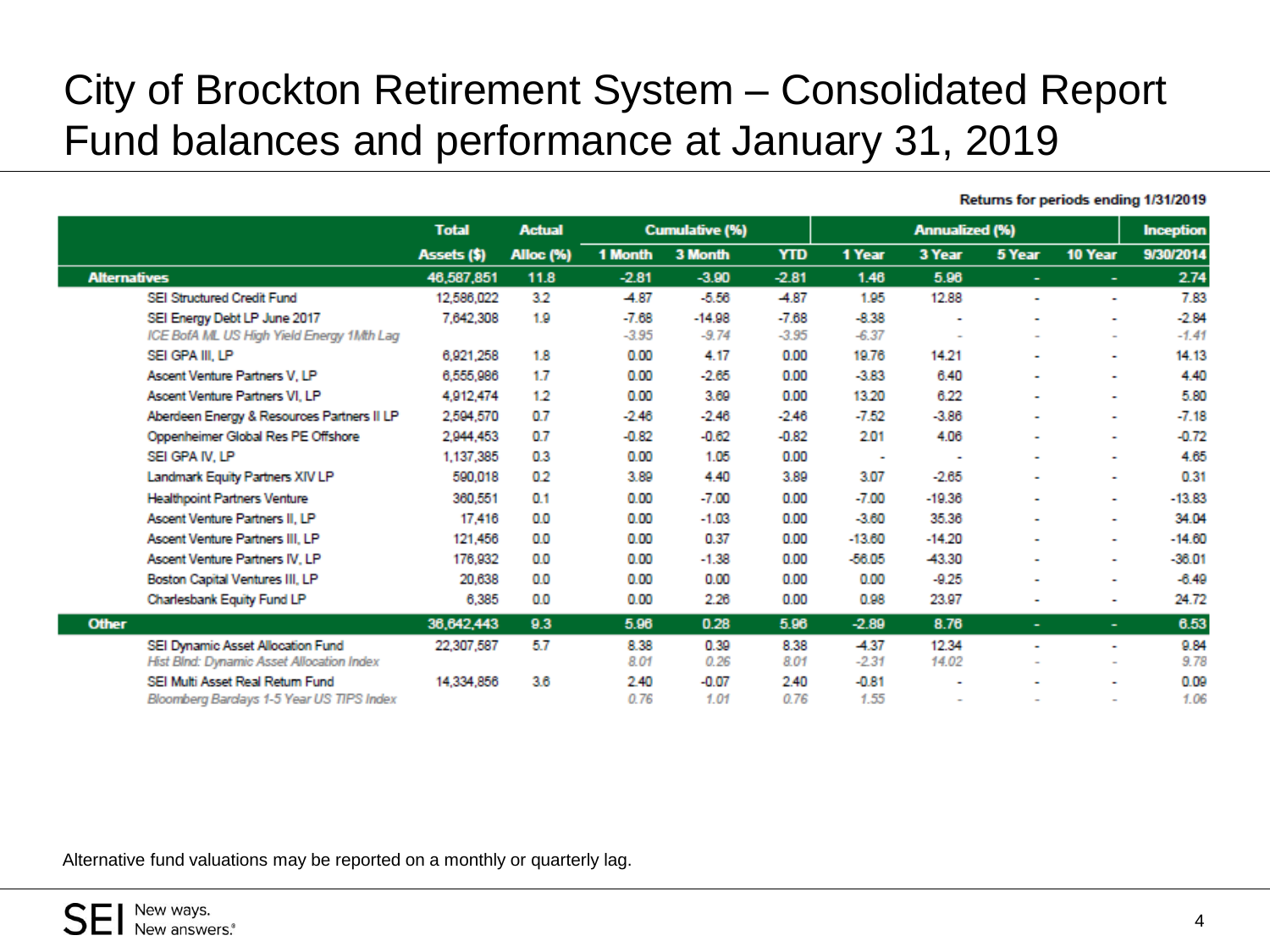## City of Brockton Retirement System – Consolidated Report Fund balances and performance at January 31, 2019

| 9/30/2014                                                                                                                                                                                         |
|---------------------------------------------------------------------------------------------------------------------------------------------------------------------------------------------------|
|                                                                                                                                                                                                   |
| 2.74                                                                                                                                                                                              |
| 7.83                                                                                                                                                                                              |
| $-2.84$                                                                                                                                                                                           |
| $-1.41$                                                                                                                                                                                           |
| 14.13                                                                                                                                                                                             |
| 4.40                                                                                                                                                                                              |
| 5.80                                                                                                                                                                                              |
| $-7.18$                                                                                                                                                                                           |
| $-0.72$                                                                                                                                                                                           |
| 4.65                                                                                                                                                                                              |
| 0.31                                                                                                                                                                                              |
| $-13.83$                                                                                                                                                                                          |
| 34.04                                                                                                                                                                                             |
| $-14.60$                                                                                                                                                                                          |
| $-36.01$                                                                                                                                                                                          |
| $-6.49$                                                                                                                                                                                           |
| 24.72                                                                                                                                                                                             |
|                                                                                                                                                                                                   |
| 6.53                                                                                                                                                                                              |
| 9.84                                                                                                                                                                                              |
| 9.78                                                                                                                                                                                              |
| 0.09<br>1.06                                                                                                                                                                                      |
| $\overline{\phantom{a}}$<br>٠<br>$\overline{\phantom{a}}$<br>٠<br>۰<br>٠<br>۰<br>٠<br>$\sim$<br>$\sim$<br>٠<br>۰<br>٠<br>٠<br>$\sim$<br>۰<br>$\overline{\phantom{a}}$<br>$\overline{\phantom{a}}$ |

Returns for periods ending 1/31/2019

Alternative fund valuations may be reported on a monthly or quarterly lag.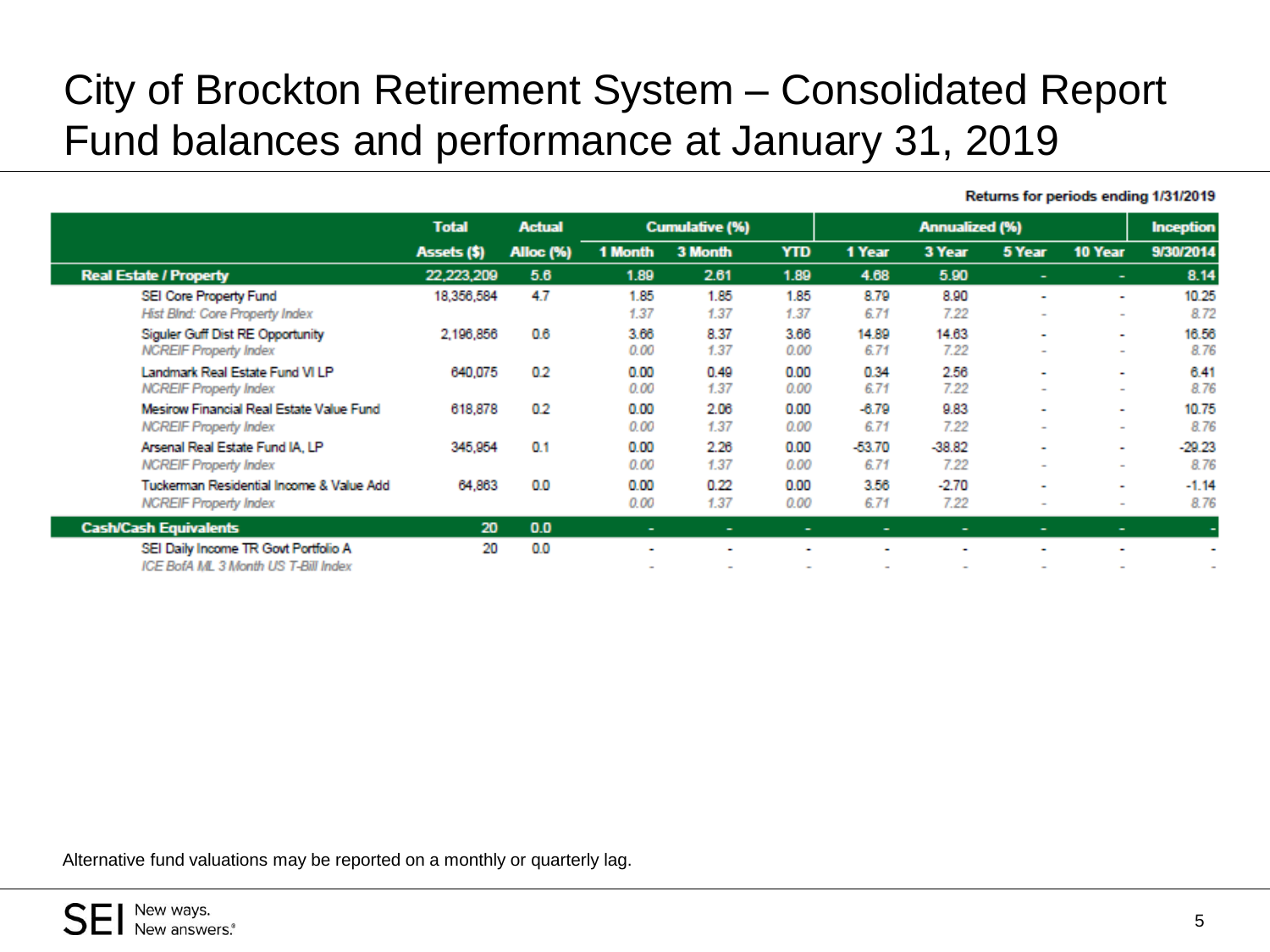## City of Brockton Retirement System – Consolidated Report Fund balances and performance at January 31, 2019

|                                                                             | <b>Total</b><br>Assets (\$) | <b>Actual</b>    |              | <b>Cumulative (%)</b> |                | <b>Annualized (%)</b> |                  |                                    |                                    | <b>Inception</b> |
|-----------------------------------------------------------------------------|-----------------------------|------------------|--------------|-----------------------|----------------|-----------------------|------------------|------------------------------------|------------------------------------|------------------|
|                                                                             |                             | <b>Alloc</b> (%) | 1 Month      | 3 Month               | <b>YTD</b>     | 1 Year                | 3 Year           | 5 Year                             | 10 Year                            | 9/30/2014        |
| <b>Real Estate / Property</b>                                               | 22,223,209                  | 5.6              | 1.89         | 2.61                  | 1.89           | 4.68                  | 5.90             |                                    | ۰                                  | 8.14             |
| SEI Core Property Fund<br>Hist Blnd: Core Property Index                    | 18,356,584                  | 4.7              | 1.85<br>1.37 | 1.85<br>1.37          | 1.85<br>1.37   | 8.79<br>6.71          | 8.90<br>7.22     | $\overline{\phantom{0}}$<br>$\sim$ | $\sim$                             | 10.25<br>8.72    |
| Siguler Guff Dist RE Opportunity<br><b>NCREIF Property Index</b>            | 2,196,856                   | 0.6              | 3.66<br>0.00 | 8.37<br>1.37          | 3.66<br>0.00   | 14.89<br>6.71         | 14.63<br>7.22    |                                    | $\sim$                             | 16.56<br>8.76    |
| Landmark Real Estate Fund VI LP<br><b>NCREIF Property Index</b>             | 640,075                     | 0.2              | 0.00<br>0.00 | 0.49<br>1.37          | 0.00<br>0.00   | 0.34<br>6.71          | 2.56<br>7.22     | $\overline{\phantom{0}}$           | $\overline{\phantom{a}}$<br>$\sim$ | 6.41<br>8.76     |
| Mesirow Financial Real Estate Value Fund<br><b>NCREIF Property Index</b>    | 618,878                     | 0.2              | 0.00<br>0.00 | 2.06<br>1.37          | 0.00<br>0.00   | $-6.79$<br>6.71       | 9.83<br>7.22     | $\overline{\phantom{a}}$           | $\overline{\phantom{a}}$           | 10.75<br>8.76    |
| Arsenal Real Estate Fund IA, LP<br><b>NCREIF Property Index</b>             | 345,954                     | 0.1              | 0.00<br>0.00 | 2.26<br>1.37          | 0.00<br>0.00   | $-53.70$<br>6.71      | $-38.82$<br>7.22 |                                    | $\overline{\phantom{a}}$<br>$\sim$ | $-29.23$<br>8.76 |
| Tuckerman Residential Income & Value Add<br><b>NCREIF Property Index</b>    | 64,863                      | 0.0              | 0.00<br>0.00 | 0.22<br>1.37          | 0.00<br>0.00   | 3.56<br>6.71          | $-2.70$<br>7.22  |                                    |                                    | $-1.14$<br>8.76  |
| <b>Cash/Cash Equivalents</b>                                                | 20                          | 0.0              | $\sim$       | ۰                     | $\blacksquare$ | ۰                     | ۰                | -                                  | $\sim$                             | ٠                |
| SEI Daily Income TR Govt Portfolio A<br>ICE BofA ML 3 Month US T-Bill Index | 20                          | 0.0              | ۰            |                       | ٠              |                       |                  |                                    |                                    |                  |

Returns for periods ending 1/31/2019

Alternative fund valuations may be reported on a monthly or quarterly lag.